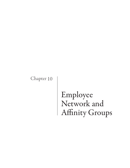Chapter 10

# Employee Network and Affinity Groups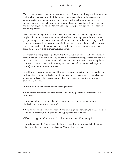In corporate America, a common mission, vision, and purpose in thought and action across<br>all levels of an organization is of the utmost importance to bottom line success; however, all levels of an organization is of the utmost importance to bottom line success; however, so is the celebration, validation, and respect of each individual. Combining these two fundamental areas effectively requires diligence, understanding, and trust from all parties and one way organizations are attempting to bridge the gap is through employee network and affinity groups.

Network and affinity groups began as small, informal, self-started employee groups for people with common interests and issues. Also referred to as employee or business resource groups, among other names, these impactful groups have now evolved into highly valued company mainstays. Today, network and affinity groups exist not only to benefit their own group members; but rather, they strategically work both inwardly and outwardly to edify group members as well as their companies as a whole.

Today there is a strong need to portray value throughout all workplace initiatives. Employee network groups are no exception. To gain access to corporate funding, benefits and positive impact on return on investment needs to be demonstrated. As network membership levels continue to grow and the need for funding increases, network leaders will seek ways to quantify value and return on investment.

In its ideal state, network groups should support the company's efforts to attract and retain the best talent, promote leadership and development at all ranks, build an internal support system for workers within the company, and encourage diversity and inclusion among employees at all levels.

In this chapter, we will explore the following questions:

- What are the benefits of employee network and affinity groups to the company? To the employee?
- How do employee network and affinity groups impact recruitment, retention, and leadership and product development?
- What are the basics of employee network and affinity group operations, to include mission and vision, charters, funding and resources, programs, and visibility?
- What is the typical infrastructure of employee network and affinity groups?
- How should organizations measure the impact of employee network and affinity groups on the bottom line? What are the challenges? What tools can be used?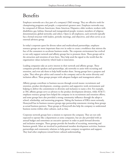### Benefits

Employee networks are a key part of a company's D&I strategy. They are effective tools for championing programs and people, a corporation's greatest asset. Employee networks may be composed of African Americans; Asian Americas; Hispanics; older workers; workers with disabilities; gay, lesbian, bisexual and transgendered people; women; members of religious denominations; global networks; and others. Open to all employees, each network typically has a formal structure with leaders, periodic meetings, and objectives, and often serves as an external advisory group.

In today's corporate quest for diverse talent and multicultural partnerships, employee resource groups are more important than ever in order to create a workforce that mirrors the face of the consumers to accelerate business results. The corporate environment has evolved to not only support network and affinity groups but to promote them. These groups aid in the attraction and retention of new hires. They help send the signal to the world that the organization values inclusivity which leads to innovation.

Leading companies take an active interest in their network and affinity groups. These companies provide speakers and sponsorships, ask networks to assist with recruiting and retention, and even ask them to help build market share. Strong groups have a purpose and a plan. They often give advice and counsel to the company and to the senior diversity and inclusion officer. These groups prosper with adequate budgets and management advice.

Affinity groups contribute to business success through several means: recruitment and retention, product development, creating a positive and supportive work environment and helping to deliver the commitment to diversity and inclusion to name a few. For example, at 3M, affinity groups serve as advisors to the product development division, while AT&T's employee resource groups have helped the company in its recruitment and retention efforts, and some groups have also provided a strong community influence through the adopt-aschool, scholarship, and mentoring programs. Taking the business of ERGs more seriously, Honeywell has its business resource groups sign partnership statements viewing these groups as actual business partners. These groups at Honeywell also help the company to understand business norms within other cultures, such as Asia.

Corporate network groups have a mission to represent the company. They are not only expected to operate like a department at some companies, but are also provided with an annual budget and sometimes an executive sponsor in order to push forward diversity and inclusion strategies. These groups provide the benefits of recruiting, mentoring and business growth. Most are involved in professional member development activities, business partnerships and community relations to help garner company recognition and support. They lead other employees toward better cultural understanding.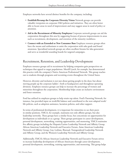Employee networks have several distinct benefits for the company, including:

- • **Establish/Revamp the Corporate Diversity Vision** Network groups can provide valuable viewpoints on corporate D&I policies and initiatives. They are often better able to locate areas in need of improvement and may suggest areas in need of policy or attention.
- • **Aid in the Recruitment of Minority Employees** Corporate network groups can aid the corporation throughout this area by suggesting focuses of process improvements in areas such as recruitment, development, and retention of the minority workforce.
- • **Connect with an Extended or New Consumer Base** Employee resource groups often have the means and enthusiasm to assist the corporation with sales goals and brand awareness. Specialized network groups are often excellent forums for idea generation and serve as wonderful sounding boards for targeted campaigns.

#### Recruitment, Retention, and Leadership Development

Employee resource groups aid in recruitment by helping companies gain perspectives on techniques that appeal to target populations. Merrill Lynch, for example, has demonstrated this practice with the company's Native American Professional Network. This group reaches out to students through programs and recruiting events throughout the United States.

However, diversity and inclusion is not just about getting people in the door, but about moving people up the corporate ladder—both at headquarters and throughout operating divisions. Employee resource groups can help to increase the percentage of women and minorities throughout the corporation. Membership helps create an inclusive environment and foster retention.

Ford has utilized its employee groups to help retain top talent. Ford's Parenting Network, for instance, has provided input on work/life balance and contributed to the now adapted work/ life policies, such as adoption assistance, lactation policies, and other support.

In terms of professional development, it is important for minorities to see their peers in similar positions. YMCA, for example, maintains not only affinity groups, but also leadership networks. These groups have a similar focus, but concentrate on opportunities for development as individuals or as a group. These groups participate in career development, personal development, networking, training opportunities, and mentoring. YMCA maintains five affinity groups including the Hispanic/Latino Leadership Network and Affinity Group, African American Leadership Network and Executive Forum, Asian American Leadership Network and Affinity Group, Gay, Lesbian, Bisexual, Transgendered Leadership Network and Affinity Group, and the Women's Leadership Network and Affinity Group.

Additionally, YMCA's African American Leadership Network and Executive Forum strives to increase leadership development of African Americans through career development, personal development, networking, training opportunities, and mentoring. This group helps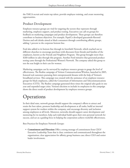the YMCA recruit and retain top talent, provide employee training, and create mentoring opportunities.

#### Product Development

Employee resource groups are vital for targeting the sectors they represent through marketing, employee support, and product testing. Executives can call on groups for feedback on marketing campaigns and product development. These groups can therefore contribute to business objectives. For example, PepsiCo developed guacamole-flavored Doritos and soft drinks aimed at black consumers through contributing affinity groups, adding 1 percent to the corporate bottom line.

Ford also added to its bottom line through its Interfaith Network, which reached out to different churches to encourage purchases with discounts from friends and families of the employees, known as the Friends and Neighbors Program. This group brought more than \$260 million in sales through this program. Another Ford initiative that generated product testing came through the Professional Women's Network. The company asked this group to test the seat height in their cars for women.

Marketing campaigns can by surveyed by employee resource groups to gauge the level of effectiveness. The Realize campaign of Verizon Communications/Wireless, launched in 2005, featured real customers pursuing their entrepreneurial dreams with the help of Verizon's broadband services. This campaign was created with the assistance of an employee resource groups for black employees, called the Consortium of Information and Telecommunications Executives (CITE). The Realize campaign generated three times the original sales goals in one year and expanded target cities. Verizon's decision to include its employees in this campaign shows the direct result of product development by employee resource groups.

# Operations

In their ideal state, network groups should support the company's efforts to attract and retain the best talent, promote leadership and development at all ranks, build an internal support system for workers within the company, and encourage diversity and inclusion among employees at all levels. Moreover, networks should support career development and mentoring for its members, help each individual build upon their own personal network for success, and act as a guiding force in helping the corporation achieve work/life effectiveness.

Best Practices for Employee Network Groups:

• **Commitment and Direction** Offer a strong message of commitment from CEO/ Executive Leadership Team that is clear, consistent and communicated throughout the organization; clear appreciation for affinity group business case; direct CEO and senior leader involvement.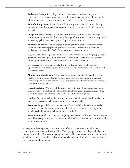- • **Authorized Groups** Reflect key employee constituencies and extending beyond race, gender, and sexual orientation to ability, faith, professional interests, and lifestyles; in addition to market segments, some drive eligibility off of Title VII classes.
- • **Role of Affinity Group** Act as a "voice" for identity group; actively attract, develop, and retain talent; develop new business opportunities; promote the Brand; community outreach.
- • **Integration** Play an integral role in the Diversity strategy; have "formal" linkages across corporate entities and functions to leverage affinity group as resource; help build leadership pipeline; have active partnership with business units.
- • **Business Connection** Actively engage in driving business goals: talent recruitment/ retention; employee engagement, personal/professional development; emerging marketing; and being the "face" of the company in the community.
- • **Organization** Offer corporate affinity groups with chapters by identity groups, across geography (regional, global), in some isolated cases aligned with business segments; affinity groups well connected with each other and the organization.
- • **Governance** Offer corporate standards with guidelines, bylaws and operating agreements; formal leadership selection (a combination of elections and "hand-picked" recommendations).
- • **Affinity Group Leadership** Well trained in leadership and diversity and focused on results, executives across identity groups should be active, and strong and support relationships with advisors as well as share best practices and create an active connection to leadership development.
- • **Executive Advisors** Members of the senior leadership team should act as champions, assume a very active role and be accountable for affinity group progress/success. They should also receive an orientation to their role and the affinity group.
- **Funding** Provide annual funding tied to approval of affinity group's business plan and past performance; generally see the return on investment value.
- **Resources** Assign a dedicated resource in the Diversity Office. Provide some level of access to corporate functions, resources and facilities; corporate and diversity website highlights affinity groups, their awards and contributions.
- • **Accountability** Offer continuous oversight by the Diversity Office and advisors; require annual business plan aligned with business and workforce contributions; use associated metrics/ measurements.

Strong groups have a purpose and a plan. They often give advice and counsel to the company and to the senior diversity officer. These groups prosper with adequate budgets and management advice. Most network groups are involved in professional member development activities, business partnerships and community relations. They lead other employees toward better cultural understanding.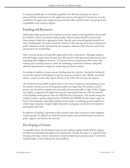A company should agree to standardize guidelines for all network groups in order to present baseline requirements in the application process and approval. Consistency must be established. Recognize that employees must lead this effort and form their own groups based on guidelines and company support.

#### Funding and Resources

Addressing budget parameters for employee networks requires formal guidelines that should be instilled as clearly articulated company policy. Business plans should be presented by these groups to help direct appropriate funds. Specific, goal-oriented agendas should be set with a funding plan. Investment should be shared in time and expense: business-related and public-relations activities sponsored by the company; volunteer efforts shared; social events sponsored by the membership.

Many network groups are financially supported by their corporations. Although employee network budgets appear quite limited, they often partner with operational departments, thus expanding their budgetary resources. The human resources department often assists with training and recruiting resources, while the marketing, community relations, and public relations departments are targets for marketing and related activities.

In starting an employee resource group, funding must be a priority. Getting the backing of an executive sponsor will help get you get the resources needed to start. Ideally, you should choose a senior executive that reports directly to the CEO who can relay the requests.

Out & Equal surveyed ERG members from a vast array of industries and professions across the country. Seventy percent of the groups polled were larger than 50 members, and 83 percent were located in multiple sites nationally and internationally. In light of this, budgets were highly recognized, with eighty-four percent reporting having one, with the majority of the funding coming directly from the HR/Diversity Department. The annual average for employee resource groups ranged between \$10,000 and \$20,000, but the largest range was from in the hundreds to the high hundreds of thousands. Considering groups studied were within large companies, budgets highly depended on programs and business development participation they had.

In addition to funding, corporations often provide many other resources to their employee resource groups. In addition to needed financial support, they provide human resources to guide, support, and educate the network.

#### Developing a Charter

To formally initiate the development process, the employee group should seek the support of influential individuals throughout the organization. During this stage, it is important that the group develops a charter and mission statement depicting its primary goals. Committees typically begin to form, followed by elected officers.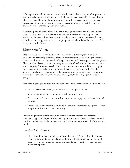Affinity groups should maintain a charter to outline not only the purpose of the group, but also the regulations and functional responsibilities of its members within the organization. The charter should outline the activities the group will participate in, such as create an inclusive environment, representing a shared voice, promoting a respectful workplace environment and promoting diversity initiatives.

Membership should be voluntary and open to any regularly scheduled full- or part-time employee. This section of the charter should also outline what membership provides employees, the roles and responsibilities of members, and leadership, and needs for budget considerations. An application process for groups and members should be outlined before taking on these initiatives.

#### Mission and Vision

One of the first demonstrated actions of any network and affinity group is mission development, or identity definition. There are clear steps towards developing an effective, clear, attainable mission. Begin with defining your story, both the company's and the group's. That story should create a sense of urgency and consist of the history of your constituency at the company. Positive stories—like executive representation and involvement, employee impact, community involvement, and targeted marketing—generate pride. Negative stories—like a lack of representation at the executive level, community missteps, negative reputation, or difficulty recruiting and/or retaining employees—highlight the need for change.

After defining the group's story, begin to define and analyze the business. Ask questions like:

- Who is the company trying to reach? Market to? Employ? Retain?
- Where do group members think the missed opportunities are?
- Given these market and business realities, how can we engage as problem-solvers and resources?
- What could we provide that is critical to the business? Short-term? Long-term? What unique, transformational role can we play?

Once these questions have answers, turn the focus inward. Evaluate the strengths, weaknesses, opportunities, and threats to the group's success. Brainstorm stakeholders and possible activities. Finally, determine a vision and mission statement with all of the above in mind.

#### *Examples of Purpose Statements:*

• "The Latino Resource Group helps improve the company's marketing efforts aimed at the fast-growing Latino population in the US, aids recruitment and retention of Latinos, promotes cultural awareness, and provides opportunities for personal and career development."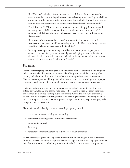- "The Women's Leadership Network seeks to make a difference for the company by researching and recommending solutions to issues affecting women; raising the visibility of women; providing opportunities for women to develop leadership skills and broaden their network; and reaching out to women, students and teens in our community."
- "People Like Us (PLUS) serves as a network and a resource for gay, lesbian, bisexual and transgender (GLBT) employees, fosters general awareness of the comGLBT employees and their contributions, and serves as an advisor to Human Resources and Management."
- "To provide information on the needs of the disabled for internal and external customers, and supporting mobility motoring in the United States and Europe to create the vehicle of choice for customers with disabilities."
- "Assisting the company in becoming a worldwide leader in promoting religious tolerance, corporate integrity, and human dignity by helping increase and maintain religious diversity; attract, develop and retain talented employees of faith; and be more aware of religious consumers' and investors' needs."

#### Programs

Part of an affinity group's business plan should involve a calendar of activities and programs to be coordinated within a two-year outlook. The affinity groups and the company offer training and education. The curricula vary but the training and education prove essential. Also, the business plan should help determine roles in recruiting, mentoring, new employee engagement and sponsorship, community outreach, and representation of the company.

Social and activist programs are both important to consider. Community activities, such as food drives, tutoring, and charity walks are good programs to keep groups in-tune with the community, as well as reaching out to universities. Within the company, promoting education and developing recruiting strategies are both highly effective. Providing materials, such as writing articles or newsletters or participating in celebrations, help get companywide recognition and involvement.

The activities undertaken by employee network groups may include:

- • Formal and informal training and mentoring
- Employee networking across institutional departments
- Community outreach
- Recruiting
- Assistance on marketing products and services to diversity markets

As part of these programs, one important internal function affinity groups can service is as a forum to articulate otherwise unexpressed barriers or opportunities to the employer. Bringing these faults to attention can lead to participation for the first time in events that promote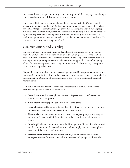these issues. Participating in community events can help extend the company name through outreach and networking. This may also assist in recruiting.

For example, Citigroup Inc. sponsored more than 45 programs in the United States that aligned with heritage months in 2006 designed by employee network groups. They helped spread knowledge about multicultural groups within the company. These network groups also developed Diversity Week, which involves lectures on diversity topics and presentations by various organizations, including the business case for diversity, LGBT issues in the workplace, age awareness, women, individuals with disabilities, and more. More than 1,000 employees participate in the programs offered.

#### Communications and Visibility

Regular employee communications remind employees that there are corporate support networks available. As a way to create visibility and voluntarily share information about major initiatives, concerns, and recommendations with the company and community. It is also important to publish group results and demonstrate support for other affinity group efforts. Become active participants in program initiatives of the business, e.g., new product launches, achieving safety goals.

Corporations typically allow employee network groups to utilize corporate communications resources. Communications through these mediums, however, often must be approved prior to dissemination. Operation of webpages linked to the corporate site typically required approval as well.

Companies employ a variety of communication techniques to stimulate membership retention and growth such as those seen below:

- **• Event Promotion** Ensure employees are aware of special events, conferences, and activities the network sponsors.
- **• Newsletters** Encourage participation in membership drives.
- **• Personal Networks** Communications and relationships of existing members can help stimulate new membership and recognition of the network.
- **• Website** Maintain an up-to-date website provides employees, prospective employees, and other stakeholders with information about the network, its activities, and its agenda.
- **• Branding** Use brand communications to build recognition. This will link the network and the corporation to the network mission and philosophy and increases employee awareness of the existence of the network.
- **Recruitment and retention** Ensure that recruits, new employees, and existing employees receive information about all employee network groups. Send reminders.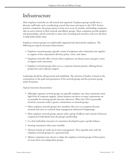# Infrastructure

Most employee networks are self-started and organized. Employee groups usually have a diversity staff leader and a coordinating council that meet and report to the CEO. In bestpractices companies, the group reports at least once every six months, and leading companies take an active interest in their network and affinity groups. These companies provide speakers and sponsorships, ask the networks to assist with recruiting and retention, and even ask them to help build market share.

Employee resource groups are traditionally organized and chartered by employees. The following are typical structural characteristics:

- Employee network groups typically consist of employees who voluntarily join together in support of the corporation's diversity policy, vision, and values.
- Employee networks offer a forum where employees can discuss issues and gain a sense of support and community.
- Employee network groups often act as a corporate business partner, offering diverse perspectives and corporate support.

Leadership should be self-generated and established. The selection of leaders is based on the commitment to the goals and parameters of the network groups and the pertinent group under formation.

Typical structural characteristics:

- Although corporate network groups are typically employee run, they commonly attain high levels of corporate support. Senior business executives at many corporations are accountable for meeting specific diversity objectives. When the CEO is personally involved, executives make a greater commitment to network groups.
- Many employee network groups have members who serve on company diversity councils and strive to routinely keep management informed of happenings.
- Most employee network groups operate with a group of officers and a board of directors comprised of individuals from the group's membership.
- • Co-chair leadership structures are sometimes developed to gain a gender balance.
- Steering committees often meet monthly.
- • Advisory boards are made up of senior management. They typically meet with the employee network groups on a quarterly basis.
- • Alliance companies may choose to adopt the employee network groups of their parent of create their own independent groups.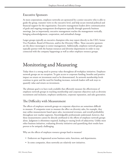#### Executive Sponsors

At most corporations, employee networks are sponsored by a senior executive who is able to guide the group, transmit views to the executive level, and help secure internal political and financial support for the organization. Executive management leaders drive communication of goals and ongoing management development typically through quarterly business meetings. Just as importantly, executive management reaches the management vertically, bringing acknowledgement, cooperation, and attitudinal change.

Larger groups typically an executive champion who may report directly to the CEO, Senior Vice President, Board of Directors, and/or the Diversity Office. These executive sponsors are the direct messengers to senior management. Additionally, employee network groups typically partner with the human resources and diversity departments in order to stay connected with the company happenings as well as other employee resource groups.

# Monitoring and Measuring

Today there is a strong need to portray value throughout all workplace initiatives. Employee network groups are no exception. To gain access to corporate funding, benefits and positive impact on return on investment need to be demonstrated. As network membership levels continue to grow and the need for funding increases, network leaders will seek ways to quantify value and return on investment.

The ultimate goal is to have tools available that efficiently measure the effectiveness of employee network groups in reaching membership and corporate objectives such as diversity recruitment and inclusion, employee satisfaction, corporate reputation, and sales generation.

#### The Difficulty with Measurement

The effects of employee network groups on corporate objectives are sometimes difficult to measure. If companies want to measure the effect on diversity sales, for example, they may utilize measurements based upon sales, incremental revenues, and overall profitability throughout new market segments. Knowledgeable professionals understand, however, that these measurements cannot be directly attributed to the efforts of employee network groups alone. Judgment is oftentimes required, leading to varying levels of subjectivity. Unlike most other business initiatives, evaluating diversity initiatives and quantifying their results have proven to be uniquely challenging.

Why are the effects of employee resource groups hard to measure?

- Endeavors are fragmented across business units, functions, and departments.
- In some companies, these networks are relatively new initiatives.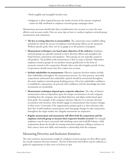- Both tangible and intangible benefits exist.
- Judgment is often required because the results of most of the measure employed cannot be fully attributed to employee network group campaigns alone.

Measurement processes should take these considerations into account to create the most effective and accurate results. Here are some tips on how to conduct employee network group measurement and evaluations:

- • **The key to setting objectives is measurability.** The corporation must establish telling standards by which the success of employee network group efforts can be measured. Without specific goals, there can be no gauge as to the presence of progress.
- • **Measurement techniques vary based upon objectives of the endeavor.** Employee network groups are typically assumed to aid in diversity efforts and strengthen the bond between corporation and employee. These groups are not typically created to sell products. The problem with measurement is that its scope is limited. Oftentimes employee resource groups do not produce instant gratification in the form of monetary reward to the corporation. Results often come after lengthy periods of time. Corporations should ensure that this is taken into account.
- • **Include stakeholders in measurement.** Effective corporate decision-makers include their stakeholders throughout the measurement process. As a best practice, successful corporations understand that stakeholder opinion should be monitored throughout the entire employee network group funding process. Once key stakeholder confidence is established, corporations can proceed with confidence with the knowledge that their investments are worthwhile.
- • **Measurement techniques depend upon corporate objectives.** The value of distinct measurement tools are dependent upon the unique circumstances of each company, including how the company rates specified objectives and aligns results based upon those goals. For example, if the company's primary objective is to increase diversity recruitment and retention, they should engage in measurements that monitor changes in these areas. Conversely, if the organization's primary goal is to drive diversity sales, then they would employee measurement tools that gauge changes in sales transactions throughout the target market area. Regular assessments are imperative.
- • **Regular measurement and assessments will allow both the corporation and the employee network group to measure their respective benefits received.** For example, employees may be most concerned with satisfying career and work/life balance, while corporations desire the benefit of creating motivated employees willing to advance in their careers, learn new skills, and maintain a relationship with the company.

#### Measuring Diversity and Inclusion Initiatives

The most common measurements sought by employee resource groups are their effects upon the overall corporate diversity initiative. The list of functions that follows may be utilized as a guide for organizations as they strive to be best in class.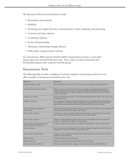The functions of diversity and inclusion include:

- Recruitment and retention
- • Work/life
- Purchasing and supplier diversity communications, media, marketing, and advertising
- • Customer and client relations
- • Community relations
- • Events and sponsorships
- • Third party relationships/strategic alliances
- • Public policy and government relations

As a best practice, affinity groups should establish measurement processes to assess their impact upon these functional diversity areas. These results can then be measured and benchmarked against other corporate network groups.

#### Measurement Tools

The following table provides a sampling of common employee network group objectives and offers examples of measurement barometers for each.

| Objectives                                                                 | <b>Barometer</b>                                                                                                                                                                                                                                                                              |
|----------------------------------------------------------------------------|-----------------------------------------------------------------------------------------------------------------------------------------------------------------------------------------------------------------------------------------------------------------------------------------------|
| Enhance employee morale                                                    | Monitor productivity levels; survey for morale; measure employee participation levels                                                                                                                                                                                                         |
| Diversity recruitment and retention                                        | Measure minority recruitment and retention throughout decided periods; benchmark<br>numbers against past results; survey minority employees for satisfaction levels; monitor<br>retention and reasons for employee resignations; compare statistics for network members<br>versus non-members |
| Employee networking                                                        | Track networking opportunities; survey membership regarding this subject and acquire need<br>for improvements                                                                                                                                                                                 |
| Employee education                                                         | Survey employee following seminars and speaker series to determine their level of learning<br>and satisfaction; monitor the number of educational opportunities provided; benchmark<br>opportunities against other networks both internal and external to the company.                        |
| Enhance minority leadership and<br>representation                          | Monitor leadership positions held by minorities; compare these numbers to past statistics and<br>benchmark against others throughout the industry                                                                                                                                             |
| Diversity sales activation                                                 | Calculate new sales for targeted market; calculate changes in incremental revenues; match<br>sales data against periods without employee resource group support                                                                                                                               |
| Diversity sales retention                                                  | Monitor overall profitability and incremental revenues throughout periods; compare for<br>markets not supported by employee resource groups                                                                                                                                                   |
| Increase awareness about the employee<br>resource group and its objectives | Conduct regular surveys; hold sessions without control groups to assess awareness levels                                                                                                                                                                                                      |
| Target marketing                                                           | Survey attendance and demographics of attendees throughout regular intervals of the event;<br>compare pre- and post-event sales or sales of prior years                                                                                                                                       |
| Enhance/alter corporate image                                              | Conduct surveys throughout multiple periods such as quarterly or biannually to consumers,<br>employees and constituents                                                                                                                                                                       |
| Media mentions                                                             | Calculate media mentions and awards                                                                                                                                                                                                                                                           |
| Message promotion                                                          | Survey awareness levels both internal and external to company                                                                                                                                                                                                                                 |
| Enhance community relations                                                | Measure community benefits; engage community constituents to provide feedback                                                                                                                                                                                                                 |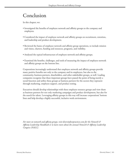# Conclusion

In this chapter, we:

- Investigated the benefits of employee network and affinity groups to the company and employees.
- Considered the impact of employee network and affinity groups on recruitment, retention, and leadership and product development.
- Reviewed the basics of employee network and affinity group operations, to include mission and vision, charters, funding and resources, programs, and visibility.
- Analyzed the typical infrastructure of employee network and affinity groups.
- Examined the benefits, challenges, and tools of measuring the impact of employee network and affinity groups on the bottom line.

Corporations increasingly understand that employee network and affinity groups provide many positive benefits not only to the company and its employees, but also to the community, business partners, shareholders, and other stakeholder groups, as well. Leading companies recognize that these important groups have passed the point of being merely a social function and utilize these groups as business partners for the sectors they represent through marketing, employee support, and product testing.

Executives should develop relationships with these employee resource groups and view them as business partners for not only marketing campaigns and product development, but also for the search for talent. Leveraging affinity groups in this way will increase corporations' bottom lines and help develop a highly successful, inclusive work environment.

*For more on network and affinity groups, visit diversitybestpractices.com for the Network & Affinity Leadership Handbook or to learn more about the annual Network & Affinity Leadership Congress (NALC).*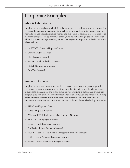## Corporate Examples

#### Abbott Laboratories

Employee networks play a vital role in building an inclusive culture at Abbott. By focusing on career development, mentoring, informal networking and work-life management, our networks expand opportunities for women and minorities to advance into leadership roles. Networks are sponsored by corporate officers, who help align the group's objectives with Abbott's business strategy. Nearly 8,000 U.S. employees participate in leadership networks. These include:

- LA VOICE Network (Hispanic/Latino),
- • Women Leaders in Action
- • Black Business Network
- • Asian Cultural Leadership Network
- PRIDE Network (gay/ lesbian)
- Part-Time Network

#### American Express

Employee networks sponsor programs that enhance professional and personal growth. Participants engage in educational activities, including job fairs and cultural events; act as liaisons to management and to the community; participate in outreach and volunteer programs; support employee recruitment and retention initiatives; and enhance marketing efforts in targeted communities. Participation in networks also offers employees a supportive environment in which to expand their skills and develop leadership capabilities.

- AHORA Hispanic Network
- SPIN Hispanic Network
- ASIA and EWEX Exchange Asian Employee Network
- BEN Black Employee Network
- CHAI Jewish Employee Network
- • DAN Disabilities Awareness Network
- • PRIDE Lesbian, Gay, Bisexual, Transgender Employee Network
- NAIP Native American Employee Network
- Nation Native American Employee Network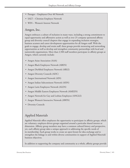- Passages Employees Over 40 Network
- SALT Christian Employee Network
- • WIN Women's Interest Network

#### Amgen, Inc.

Amgen embraces a culture of inclusion in many ways, including a strong commitment to equal opportunity and affirmative action as well as over 25 company sponsored affinity group and diversity council chapters that engage in expanding inclusion strategies, business acumen and career development opportunities for all Amgen staff. With the goals to engage, develop and retain staff, these groups provide mentoring and networking opportunities as well as develop and strengthen community partnerships with local and nationwide organizations. More than 2,500 staff members participate in affinity groups at Amgen, which currently include:

- Amgen Asian Association (AAA)
- • Amgen Black Employees Network (ABEN)
- Amgen DisAbled Employees Network (ABLE)
- Amgen Diversity Councils (ADC)
- Amgen International Network (AIN)
- • Amgen Indian Subcontinent Network (AISN)
- Amgen Latin Employees Network (ALEN)
- • Amgen Middle Eastern Employees Network (AMEEN)
- Amgen Network for Gay and Lesbian Employees (ANGLE)
- Amgen Women's Interactive Network (AWIN)
- Diversity Councils

#### Applied Materials

Applied Materials offers employees the opportunity to participate in affinity groups, which are voluntary, employee-driven groups organized around a particular shared interest or dimension. Affinity group members may have a common cultural history and perspective, yet, each affinity group takes a unique approach to addressing the specific needs of its membership. Each group works to create an open forum for idea exchange and to strengthen the linkage to and within diverse communities in support of Applied Materials' business objectives.

In addition to supporting the company and community as a whole, affinity groups provide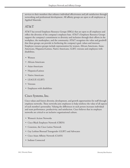services to their members that enhance individual effectiveness and job satisfaction through networking and professional development. All affinity groups are open to all employees at Applied Materials.

#### AT&T

AT&T has several Employee Resource Groups (ERGs) that are open to all employees and reflect the diversity of the company's employee base. AT&T's Employee Resource Groups support the company's commitment to diversity and inclusion through their efforts in the workplace, the marketplace, and the community. AT&T recognizes the value and goodwill that these groups can provide in furthering the company's goal, values and interests. Employee resource groups include representation for women, African-Americans, Asian-Americans, Hispanics/Latinos, Native Americans, GLBT, veterans and employees with disabilities.

- Women
- • African-Americans
- • Asian-Americans
- Hispanics/Latinos
- Native Americans
- • LEAGUE (GLBT)
- • Veterans
- • Employees with disabilities

#### Cisco Systems, Inc.

Cisco values and fosters diversity, development, and growth opportunities for staff through employee networks. These networks join employees to help reinforce the value of all aspects of each member's personality. Valuing the differences in each person increases individual and team performance, productivity, and satisfaction. Cisco believes that its employee networks are critical to an inclusive organizational culture.

- Women's Action Networks
- • Cisco Black Employee Network (CBEN)
- • Conexion, the Cisco Latino Network
- Gay Lesbian Bisexual Transgender (GLBT) and Advocates
- • Cisco Asian Affinity Network (CAAN)
- • Indians Connected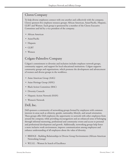#### Clorox Company

To help diverse employees connect with one another and collectively with the company, Clorox sponsors five employee resource groups: African American, Asian/Pacific, Hispanic, GLBT and Women. Each group is sponsored by a member of the Clorox Executive Committee and led by a vice president of the company.

- African American
- Asian/Pacific
- Hispanic
- GLBT
- • Women

#### Colgate-Palmolive Company

Colgate's commitment to diversity and inclusion includes employee network groups, community support, and support for local educational institutions. Colgate supports community groups and organizations, which promote the development and advancement of women and diverse groups in the workforce.

- Asian American Group (AAG)
- Asian Heritage Group (AHG)
- Black Action Committee (BAC)
- Diversity Councils
- Hispanic Action Network (HAN)
- • Women's Network

#### Dell, Inc.

Dell sponsors a community of networking groups formed by employees with common interests in areas such as ethnicity, gender, nationality, lifestyle, and sexual orientation. These groups offer Dell employees the opportunity to network with other employees from around the company, while providing encouragement and an enhanced sense of belonging through informal mentoring, professional and community events and access to personal and professional development and growth. Additionally, networking groups help foster a more inclusive work environment, improve communication among employees and enhance understanding of all employees about the value of diversity.

- • BRIDGE Building Relationships in Diverse Group Environments (African-American Networking Group)
- W.I.S.E. Women In Search of Excellence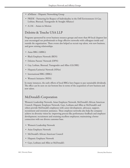- aDellante Hispanic Networking Group
- PRIDE Partnering for Respect of Individuality in the Dell Environment (A Gay, Lesbian, Bisexual, Transgender & Straight Alliance)
- A.I.M. Asians in Motion

#### Deloitte & Touche USA LLP

Programs sponsored by seven business resource groups and more than 80 local chapters last year encouraged our professionals to forge effective networks with colleagues inside and outside the organization. These events also helped us recruit top talent, win new business, and grow existing relationships.

- Asian BRG (ABRG)
- Black Employee Network (BEN)
- • Deloitte Parents' Network (DPN)
- • Gay, Lesbian, Bisexual, Transgender and Allies (GLOBE)
- Hispanic/Latino(a) Network (HNet)
- International BRG (IBRG)
- Women's Initiative (WIN)

 In many instances, the early efforts of local BRGs have begun to pay sustainable dividends. The effect can be seen on our bottom line in terms of the acquisition of new business and new talent.

#### McDonald's Corporation

Women's Leadership Network, Asian Employee Network, McDonald's African American Council, Hispanic Employee Network, Gays, Lesbians and Allies at McDonald's and others provide McDonald's employees with career development, advocacy, support, recruitment and retention assistance. These employee networks also help the company achieve its diversity vision by: improving process like performance feedback and employee development; recruitment and retaining excellent employees; maintaining a better connection with our diverse customer base.

- • Women's Leadership Network
- Asian Employee Network
- • McDonald's African American Council
- • Hispanic Employee Network
- • Gays, Lesbians and Allies at McDonald's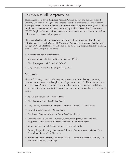#### The McGraw Hill Companies, Inc.

Through grassroots-driven Employee Resource Groups (ERGs) and business-focused Diversity Councils, we recognize and support diversity in the workplace. The Hispanic Heritage Network (HHN), Women's Initiative for Networking and Success (WINS), Black Employees at McGraw-Hill (BEAM), and the Gay, Lesbian, Bisexual and Transgender (GLBT) Employee Resource Group enable employees to connect and discuss a shared set of interests, experiences and perspectives.

ERGs have also been vital in fostering a mentoring culture throughout The McGraw-Hill Companies — the McGraw-Hill Mentoring Program was conceived of and piloted through WINS and HHN has recently launched a mentoring program focused on serving the needs of our Hispanic employees.

- Hispanic Heritage Network (HHN)
- Women's Initiative for Networking and Success (WINS)
- • Black Employees at McGraw-Hill (BEAM)
- • Gay, Lesbian, Bisexual and Transgender (GLBT)

#### Motorola

Motorola's diversity councils help integrate inclusion into its marketing, community involvement, recruitment and employee development initiatives. Led by senior executives and open to any Motorola employee, the councils sponsor inclusion events, collaborate with external inclusion organizations, raise awareness and mentor employees. Our councils include:

- Asian Business Council United States
- • Black Business Council United States
- • Gay, Lesbian, Bisexual and Transgender Business Council United States
- Latino Business Council United States
- People with Disabilities Business Council United States
- • Women's Business Council Canada, China, India, Japan, Korea, Malaysia, Singapore, United States and Europe, Middle East and Africa region
- State Diversity Councils (United States) Arizona, Florida
- • Country/Region Diversity Councils Columbia, Central America, Mexico, Peru, Puerto Rico, South Africa, Venezuela
- Business/Function Diversity Councils (Global) Home & Networks Mobility, Law, Enterprise Mobility, Technology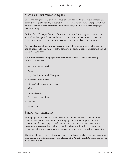#### State Farm Insurance Company

State Farm recognizes that employees have long met informally to network, mentor each other, develop professionally, and assist the Company in various ways. Our policy allows employee groups to meet more formally and seek recognition as State Farm Employee Resource Groups.

At State Farm, Employee Resource Groups are committed to serving as a resource in the areas of employee growth and development, recruitment, and retention to help us meet current and future needs for a more diverse customer base and employee workforce.

Any State Farm employee who supports the Group's business purpose is welcome to join and do not need to be a member of the demographic segment the group is formed around in order to participate.

We currently recognize Employee Resource Groups formed around the following demographic segments:

- African American/Black
- Asian
- • Gays/Lesbians/Bisexuals/Transgender
- • Hispanic/Latino/Latina
- Military/Public Service in Canada
- Men
- Parents/Families
- People with Disabilities
- • Women
- Young Adult

#### Sun Microsystems, Inc.

An Employee Resource Group is a network of Sun employees who share a common identity, characteristic, or set of interests. Employee Resource Groups exist for the betterment of Sun, engaging themselves in initiatives and activities which contribute towards Sun's success and which insure a work environment in which each candidate, employee, and customer is treated with respect, dignity, fairness, and cultural sensitivity.

The efforts of Sun's Employee Resource Groups complement Global Inclusion's focus areas of Attracting and Retaining diverse top talent and the Attraction and Retention of a diverse global customer base.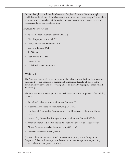Interested employees voluntarily subscribe to Employee Resource Groups through established online aliases. These aliases, open to all interested employees, provide members with opportunity to exchange information and ideas, network with those sharing similar interests, and plan sponsored activities.

Employee Resource Groups:

- • Asian American Diversity Network (AADN)
- • Black Employee Network (BEN)
- • Gays, Lesbians, and Friends (GLAF)
- Society of Latinos (SOL)
- SunWomen
- Legal Diversity Council
- Interns @ Sun
- • Global Inclusion Community

#### Walmart

The Associate Resource Groups are committed to advancing our business by leveraging the diversity of our associates to become and employer and retailer of choice in the communities we serve, and by providing advice on culturally appropriate products and advertising.

The Associate Resource Groups are open to all associates at the Corporate Office and they include:

- Asian Pacific Islander Associate Resource Group (API)
- Hispanic Latino Associate Resource Group (HLARG)
- Leading and Empowering Associates with Disabilities Associate Resource Group (LEAD)
- • Lesbian, Gay, Bisexual & Transgender Associate Resource Group (PRIDE)
- American Indian and Alaskan Native Associate Resource Group (Tribal Voices)
- African American Associate Resource Group (UNITY)
- • Women's Resource Council (WRC)

Currently, there are more than 2,000 associates participating in the Groups at our Corporate Office, and 30 corporate officers serve as executive sponsors by providing counsel, advice and support to members.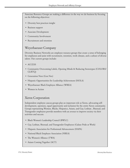Associate Resource Groups are making a difference in the way we do business by focusing on the following objectives:

- • Diversity best practices insight
- Business support
- Associate Development
- Community Involvement
- • Recruitment and retention

#### Weyerhaeuser Company

Diversity Business Networks are employee resource groups that create a sense of belonging for employees and assist with recruitment, retention, work climate, and a culture of diverse talent. Our current groups include:

- ACCESS
- • Community Overcoming Labels, Opening Minds & Reducing Stereotypes (COLORS/ GLBTQ)
- Generation Next (Gen Nex)
- Hispanic Opportunities for Leadership Achievement (HOLA)
- • Weyerhaeuser Black Employee Alliance (WBEA)
- Women in Action

#### Xerox Corporation

Independent employee caucus groups play an important role at Xerox, advocating selfdevelopment, openness, equal opportunity and inclusion for the entire Xerox community. Groups representing Women, Blacks, Hispanics, Asians, and Gay, Lesbian , Bisexual, and Transgender employees provide members with an avenue to improve society via their activities and success.

- • Black Women's Leadership Council (BWLC)
- • Gay, Lesbian, Bisexual, and Transgender Employees (Galaxe Pride at Work)
- Hispanic Association for Professional Advancement (HAPA)
- • National Black Employee Association (NBEA)
- The Women's Alliance (TWA)
- • Asians Coming Together (ACT)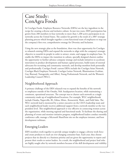### Case Study: ConAgra Foods

At ConAgra Foods, Employee Resource Networks (ERNs) are the key ingredient in the recipe for creating a diverse and inclusive culture. In just two years, ERN participation has grown from 200 members in four networks to more than 1,200 active participants in six networks across the United States. The catalyst for growth is the result of a 2007 strategic planning process which brought together a cross-functional team of employees to map out the company's first ever, comprehensive strategy for Diversity and Inclusion.

Using the new strategic plan as the foundation, there was clear opportunity for ConAgra to relaunch existing ERNs and expand the networks to align with the company's strategic objective to nourish its people in order to attract, retain, and engage its employee base. To enable the ERNs to impact the transition in culture, specially designed charters outline the opportunity to further advance company strategy and include initiatives to accelerate innovation in product development and human capital processes, build teams of external advocates for recruiting and community outreach, and develop members both personally and professionally. ConAgra Foods' current ERNs include the ConAgra Asian Network, ConAgra Black Employee Network, ConAgra Latino Network, Illuminations (Lesbian, Gay, Bisexual, Transgender, and Allies), Young Professionals Network, and the Women's Leadership Council (WLC).

#### Neighborhood Approach

A primary challenge of the ERN relaunch was to expand the benefits of the network to employees outside of the Omaha, Neb. headquarters location, while maintaining a consistent, operational structure. The concept was to charter each network as a single community made up of neighborhood locations. For example, WLC neighborhoods include Omaha, Naperville, Ill., Edina, Minn., Kennewick, Wash., and Field Sales. The WLC network lead is mentored by a senior executive on the CEO's leadership team and each neighborhood leader receives additional support from a network member at the vice president level. This neighborhood approach is very effective in connecting women across the organization, while meeting regional and functional needs. To facilitate the sharing and planning of events and monitor initiative progress, neighborhood leaders conduct monthly conference calls, manage a Microsoft SharePoint site on the employee intranet, and host development webinars.

#### Emerging Leaders

ERN members work together to provide unique insights to engage a diverse work force and create products to reach an ever-changing consumer base. Each year, they choose projects that tie directly to a business priority and are given the opportunity to report and present their results to senior leaders. As a result, the neighborhood and project lead roles are highly sought after by network members because of the skill development and visibility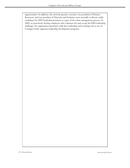opportunities. In addition, the network sponsor, executive vice president of Human Resources, and vice president of Diversity and Inclusion meet annually to discuss viable candidates for ERN leadership positions as a part of the talent management process. In 2009, to proactively develop employees who volunteer for and accept the ERN leadership challenge, the organization launched a full-day Leadership and Learning Lab as one of ConAgra Foods' signature leadership development programs.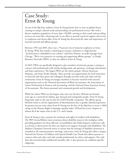### Case Study: Ernst & Young

As one of the Big Four auditors, Ernst & Young knows how to treat its global clients, catering to unique cultural needs and providing vast professional services. But with a diverse employee population of more than 130,000, catering to their needs and providing services can seem like a daunting task. In an effort to provide top-level support and service to employees and clients alike, Ernst & Young has discovered the value and importance of internal network and affinity groups.

Between 1995 and 2005, there was a 79 percent rise of minority employees at Ernst & Young. With that number continuing to increase, inclusion is a high priority. "Inclusiveness is embedded in our culture," said Petty Homan, an audit manager from Chicago. "We're very proactive in creating and supporting affinity groups," or People Resource Networks (PRN), as they are called at Ernst & Young.

At E&Y, PRNs are specifically designed to give members of minority groups a setting to connect with professionals with similar backgrounds, ask questions, exchange information, and share experiences. The largest PRNs are the ethnic groups: African American, Hispanic, and Asian Pacific Islander. These provide vast opportunities for local minorities to network with their peers and colleagues through activities with each other and the community. Ernst & Young encourages members to become involved with external organizations such as the National Association of Black Accountants, the Association of Latino Professional in Finance and Accounting, and the National Asian American Society of Accountants. This fosters personal and communal growth and development.

While the ethnic PRNs are the largest, they were not the first. bEYond was formed years ago as a network for lesbian, gay, bisexual and transgender people. Ernst & Young frequently ranks in the top ten lists for GLBT-friendly companies. The affinity group bEYond works to rid the organization of discrimination due to gender identity/expression. Its greatest success came when Ernst & Young was the first of the Big Four to score a 100% rating on the Human Rights Campaign equality index. bEYond has active chapters in almost all of the major cities in the U.S. and Canada.

Ernst & Young is also a pioneer for inclusion and rights of workers with disabilities. The PRN AccessAbilities raises awareness about disability issues in the workplace while providing guidance for those affected. AccessAbilities also holds frequent conference calls as a forum to discuss how the firm can improve its support of people with disabilities. The Abilities Champion Network strives to ensure that the message of disability-awareness is included in all communications, meetings, and events. Ernst & Young also offers a unique Network for Parents of Children with Special Health Care Needs that allows parents to connect with each other and with outside professionals for advice and support. Not only does this network hold confidential monthly calls, it also sponsors six condition-specific subgroups.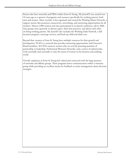Parents also have networks and PRNs within Ernst & Young. My JournEY was created over 10 years ago as a sponsor of programs and resources specifically for working parents, both men and women. More recently, it has organized and created the Working Moms Network, a support system that promotes connectivity, networking, and mentoring opportunities for all mothers. Almost 2,000 women and men participated in its launch conference call in 2006. Area groups meet quarterly to discuss topics, share best practices, and advise each other on being working parents. My JournEY also includes the Working Dads Network, a full lactation program, concierge services, and back-up child and adult care.

Beyond that, women at Ernst & Young have multiple resources for their growth and development. PLAN is a network that provides mentoring opportunities with Executive Board members. ACCESS connects women who are actively pursuing positions of partnership or leadership. Professional Women's Networks, and a variety of subnetworks, work internally and externally to raise the status of women in the business and auditing world.

Overall, employees at Ernst & Young feel valued and connected with the large presence of networks and affinity groups. These programs foster communication within a minority group while providing an excellent means for feedback to senior management about diversity strategies.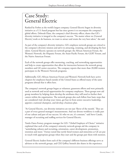### Case Study: General Electric

Ranked by Forbes as the world's largest company, General Electric began its diversity initiative as a U.S.-based program but has since grown it to encompass the company's global efforts. Deborah Elam, the company's chief diversity officer, shares that GE's diversity initiative is integral to the company's success. "No matter where we [General Electric] work or do business, we want to attract and retain the very best talent," she said.

As part of the company's diversity initiative, GE's employee network groups are critical to the company's diversity mission and aid it in attracting, retaining, and developing the best talent. General Electric operates six network groups: the African American Forum, the Women's Network, the Hispanic Forum, the Asian-Pacific Forum, the GLBT Forum, and the Native American Forum.

Each of the network groups offer mentoring, coaching, and networking opportunities and help to create opportunities that allow for interaction between the network group members and GE senior executives. The company reports that more than 20,000 women participate in the Women's Network programs.

Additionally, GE's African American Forum and Women's Network both have active chapters for employees based outside of the United States as offered many of the same programs abroad that it offers here.

The company's network groups began as volunteer, grassroots efforts and were primarily used as network and social opportunities for company employees. These groups now aid group members by helping them develop the attributes they will need to further their careers within the organization. The network groups also each follow four basic steps that are considered vital: develop your vision, get buy-in from senior executive leadership, appoint a national champion, and develop a business plan.

"At General Electric, our diversity initiatives are not just 'flavor of the month.' They are a part of every general manager's measurements. And our diverse workforce is really part of our culture and part of our success. It's who we are, it's constant," said Steve Canale, manager of recruiting and staffing services for General Electric.

Tamla Oates-Forney, program manager for GE's "Global Employer of Choice" initiative explained that each of the company's minority network groups aid the company in "assimilating cultures and recruiting, orientation, career development, promotion, retention and more." Forney noted that newly hired women and minorities at GE are put in touch with appropriate groups when they start and the groups pair them with mentors.

General Electric leaders from each of the company's different business offerings serve as advisors to the network groups, and CEO Jeffrey Immelt also shares in the experience.